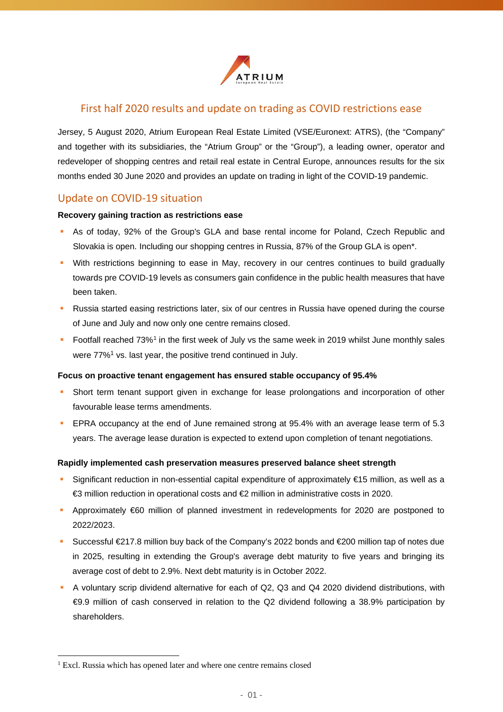

### First half 2020 results and update on trading as COVID restrictions ease

Jersey, 5 August 2020, Atrium European Real Estate Limited (VSE/Euronext: ATRS), (the "Company" and together with its subsidiaries, the "Atrium Group" or the "Group"), a leading owner, operator and redeveloper of shopping centres and retail real estate in Central Europe, announces results for the six months ended 30 June 2020 and provides an update on trading in light of the COVID-19 pandemic.

## Update on COVID-19 situation

#### **Recovery gaining traction as restrictions ease**

- As of today, 92% of the Group's GLA and base rental income for Poland, Czech Republic and Slovakia is open. Including our shopping centres in Russia, 87% of the Group GLA is open\*.
- With restrictions beginning to ease in May, recovery in our centres continues to build gradually towards pre COVID-19 levels as consumers gain confidence in the public health measures that have been taken.
- Russia started easing restrictions later, six of our centres in Russia have opened during the course of June and July and now only one centre remains closed.
- <span id="page-0-0"></span>Footfall reached 73%<sup>[1](#page-0-1)</sup> in the first week of July vs the same week in 2019 whilst June monthly sales were 77%<sup>[1](#page-0-0)</sup> vs. last year, the positive trend continued in July.

#### **Focus on proactive tenant engagement has ensured stable occupancy of 95.4%**

- Short term tenant support given in exchange for lease prolongations and incorporation of other favourable lease terms amendments.
- **EPRA occupancy at the end of June remained strong at 95.4% with an average lease term of 5.3** years. The average lease duration is expected to extend upon completion of tenant negotiations.

#### **Rapidly implemented cash preservation measures preserved balance sheet strength**

- Significant reduction in non-essential capital expenditure of approximately €15 million, as well as a €3 million reduction in operational costs and €2 million in administrative costs in 2020.
- Approximately €60 million of planned investment in redevelopments for 2020 are postponed to 2022/2023.
- Successful €217.8 million buy back of the Company's 2022 bonds and €200 million tap of notes due in 2025, resulting in extending the Group's average debt maturity to five years and bringing its average cost of debt to 2.9%. Next debt maturity is in October 2022.
- A voluntary scrip dividend alternative for each of Q2, Q3 and Q4 2020 dividend distributions, with €9.9 million of cash conserved in relation to the Q2 dividend following a 38.9% participation by shareholders.

<span id="page-0-1"></span><sup>&</sup>lt;sup>1</sup> Excl. Russia which has opened later and where one centre remains closed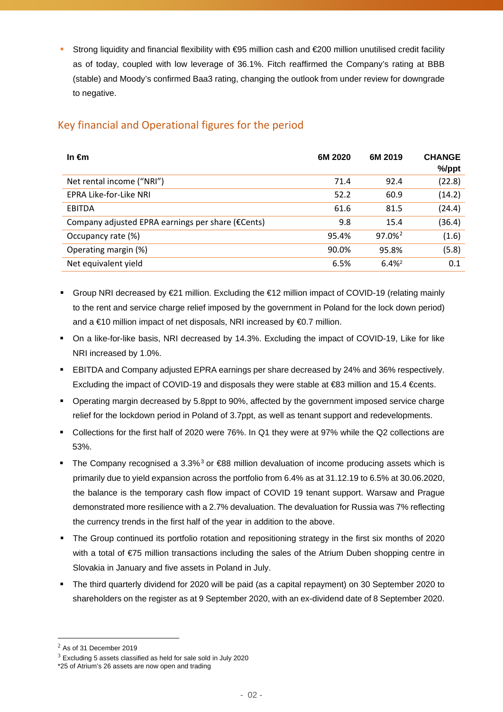Strong liquidity and financial flexibility with  $\text{\textcircled{e}95}$  million cash and  $\text{\textcircled{e}200}$  million unutilised credit facility as of today, coupled with low leverage of 36.1%. Fitch reaffirmed the Company's rating at BBB (stable) and Moody's confirmed Baa3 rating, changing the outlook from under review for downgrade to negative.

# Key financial and Operational figures for the period

| In $\epsilon$ m                                   | 6M 2020 | 6M 2019            | <b>CHANGE</b><br>%/ppt |
|---------------------------------------------------|---------|--------------------|------------------------|
| Net rental income ("NRI")                         | 71.4    | 92.4               | (22.8)                 |
| EPRA Like-for-Like NRI                            | 52.2    | 60.9               | (14.2)                 |
| EBITDA                                            | 61.6    | 81.5               | (24.4)                 |
| Company adjusted EPRA earnings per share (€Cents) | 9.8     | 15.4               | (36.4)                 |
| Occupancy rate (%)                                | 95.4%   | 97.0% <sup>2</sup> | (1.6)                  |
| Operating margin (%)                              | 90.0%   | 95.8%              | (5.8)                  |
| Net equivalent yield                              | 6.5%    | $6.4\%^2$          | 0.1                    |

- <span id="page-1-0"></span>Group NRI decreased by  $E21$  million. Excluding the  $E12$  million impact of COVID-19 (relating mainly to the rent and service charge relief imposed by the government in Poland for the lock down period) and a €10 million impact of net disposals, NRI increased by €0.7 million.
- On a like-for-like basis, NRI decreased by 14.3%. Excluding the impact of COVID-19, Like for like NRI increased by 1.0%.
- EBITDA and Company adjusted EPRA earnings per share decreased by 24% and 36% respectively. Excluding the impact of COVID-19 and disposals they were stable at €83 million and 15.4 €cents.
- Operating margin decreased by 5.8ppt to 90%, affected by the government imposed service charge relief for the lockdown period in Poland of 3.7ppt, as well as tenant support and redevelopments.
- Collections for the first half of 2020 were 76%. In Q1 they were at 97% while the Q2 collections are 53%.
- The Company recognised a [3](#page-1-2).3%<sup>3</sup> or  $688$  million devaluation of income producing assets which is primarily due to yield expansion across the portfolio from 6.4% as at 31.12.19 to 6.5% at 30.06.2020, the balance is the temporary cash flow impact of COVID 19 tenant support. Warsaw and Prague demonstrated more resilience with a 2.7% devaluation. The devaluation for Russia was 7% reflecting the currency trends in the first half of the year in addition to the above.
- The Group continued its portfolio rotation and repositioning strategy in the first six months of 2020 with a total of €75 million transactions including the sales of the Atrium Duben shopping centre in Slovakia in January and five assets in Poland in July.
- The third quarterly dividend for 2020 will be paid (as a capital repayment) on 30 September 2020 to shareholders on the register as at 9 September 2020, with an ex-dividend date of 8 September 2020.

<span id="page-1-1"></span> $<sup>2</sup>$  As of 31 December 2019</sup>

<span id="page-1-2"></span> $3$  Excluding 5 assets classified as held for sale sold in July 2020

<sup>\*25</sup> of Atrium's 26 assets are now open and trading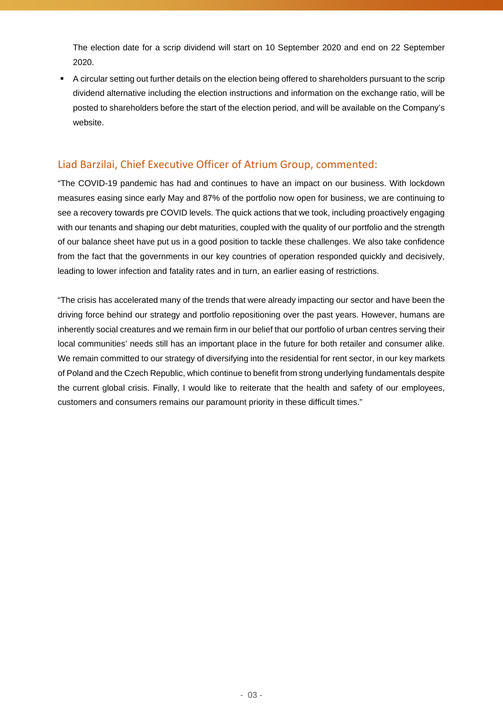The election date for a scrip dividend will start on 10 September 2020 and end on 22 September 2020.

■ A circular setting out further details on the election being offered to shareholders pursuant to the scrip dividend alternative including the election instructions and information on the exchange ratio, will be posted to shareholders before the start of the election period, and will be available on the Company's website.

## Liad Barzilai, Chief Executive Officer of Atrium Group, commented:

"The COVID-19 pandemic has had and continues to have an impact on our business. With lockdown measures easing since early May and 87% of the portfolio now open for business, we are continuing to see a recovery towards pre COVID levels. The quick actions that we took, including proactively engaging with our tenants and shaping our debt maturities, coupled with the quality of our portfolio and the strength of our balance sheet have put us in a good position to tackle these challenges. We also take confidence from the fact that the governments in our key countries of operation responded quickly and decisively, leading to lower infection and fatality rates and in turn, an earlier easing of restrictions.

"The crisis has accelerated many of the trends that were already impacting our sector and have been the driving force behind our strategy and portfolio repositioning over the past years. However, humans are inherently social creatures and we remain firm in our belief that our portfolio of urban centres serving their local communities' needs still has an important place in the future for both retailer and consumer alike. We remain committed to our strategy of diversifying into the residential for rent sector, in our key markets of Poland and the Czech Republic, which continue to benefit from strong underlying fundamentals despite the current global crisis. Finally, I would like to reiterate that the health and safety of our employees, customers and consumers remains our paramount priority in these difficult times."